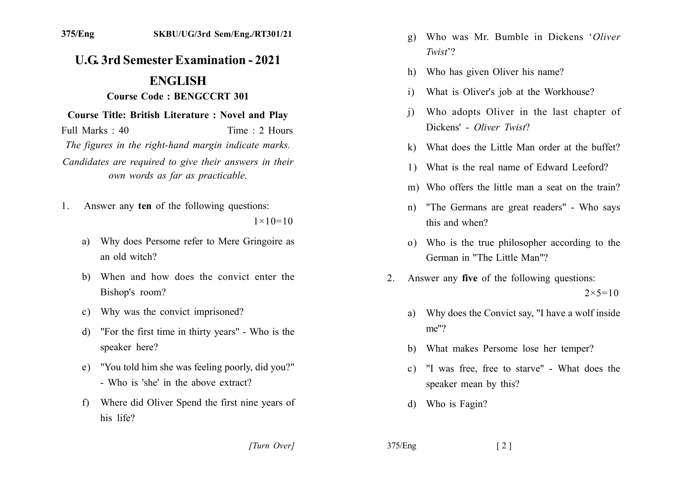## **U.G. 3rd Semester Examination - 2021 ENGLISH**

## **Course Code: BENGCCRT 301**

## **Course Title: British Literature: Novel and Play**

Time: 2 Hours Full Marks  $\cdot$  40 The figures in the right-hand margin indicate marks.

Candidates are required to give their answers in their own words as far as practicable.

Answer any ten of the following questions:  $1$ 

 $1 \times 10 = 10$ 

- Why does Persome refer to Mere Gringoire as a) an old witch?
- b) When and how does the convict enter the Bishop's room?
- c) Why was the convict imprisoned?
- "For the first time in thirty years" Who is the  $\mathbf{d}$ speaker here?
- e) "You told him she was feeling poorly, did you?" - Who is 'she' in the above extract?
- Where did Oliver Spend the first nine years of  $f$ his life?
- Who was Mr. Bumble in Dickens 'Oliver  $\mathfrak{g}$ )  $Twist$ ?
- Who has given Oliver his name?  $h$ )
- What is Oliver's job at the Workhouse?  $\mathbf{i}$
- Who adopts Oliver in the last chapter of  $\overline{1}$ Dickens' - Oliver Twist?
- k) What does the Little Man order at the buffet?
- 1) What is the real name of Edward Leeford?
- m) Who offers the little man a seat on the train?
- "The Germans are great readers" Who says  $n)$ this and when?
- o) Who is the true philosopher according to the German in "The Little Man"?
- Answer any five of the following questions:  $2_{-}$  $2 \times 5 = 10$ 
	- a) Why does the Convict say, "I have a wolf inside  $me''?$
	- b) What makes Persome lose her temper?
	- "I was free, free to starve" What does the  $c$ ) speaker mean by this?
	- d) Who is Fagin?

[Turn Over]

 $375/Eng$  $\lceil 2 \rceil$